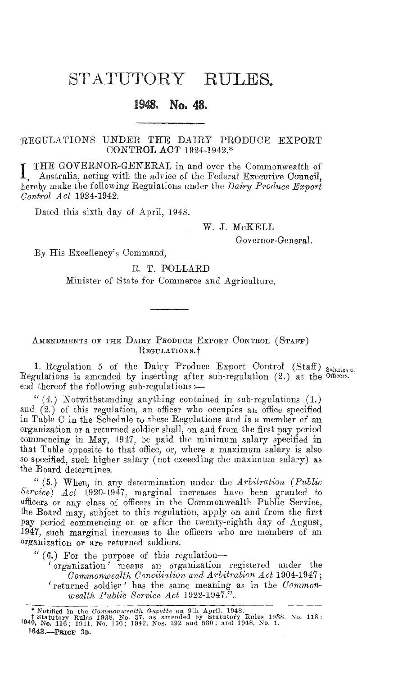## STATUTORY RULES.

## 1948. No. 48.

## REGULATIONS UNDER THE DAIRY PRODUCE EXPORT CONTROL ACT 1924-1942.\*

**I** THE GOVERNOR-GENERAL in and over the Commonwealth of Australia acting with the educated in Fig. Australia, acting with the advice of the Federal Executive Council, hereby make the following Regulations under the *Dairy Produce Export Control Act* 1924-1942.

Dated this sixth day of April, 1948.

W. J. McKELL

Governor-General.

By His Excellency's Command,

R. T. POLLARD

Minister of State for Commerce and Agriculture.

AMENDMENTS OF THE DAIRY PRODUCE EXPORT CONTROL (STAFF) REGULATIONS.<sup>†</sup>

1. Regulation 5 of the Dairy Produce Export Control (Staff) Salaries of Regulations is amended by inserting after sub-regulation (2.) at the officers. end thereof the following sub-regulations : $-$ 

 $(4.)$  Notwithstanding anything contained in sub-regulations  $(1.)$ and  $(2.)$  of this regulation, an officer who occupies an office specified in Table C in the Schedule to these Regulations and is a member of an organization or a returned soldier shall, on and from the first pay period commencing in May, 1947, be paid the minimum salary specified in that Table opposite to that office, or, where a maximum salary is also so specified, such higher salary (not exceeding the maximum salary) as the Board determines.

" (5.) When, in any determination under the *Arbitration (Public Service) Act* 1920-1947, marginal increases have been granted to officers or any class of officers in the Commonwealth Public Service, the Board may, subject to this regulation, apply on and from the first pay period commencing on or after the twenty-eighth day of August, 1947, such marginal increases to the officers who are members of an organization or are returned soldiers.

 $`` (6.)$  For the purpose of this regulation-

' organization' means an organization registered under the *Commonwealth Conciliation and Arbitration Act* 1904-1947; 'returned soldier' has the same meaning as in the *Commonwealth Public Service Act* 1922-1947."..

<sup>\*</sup> Notified in the *Commonwealth Gazette* on 9th April, 1948.<br>† Statutory Rules 1938, No. 57, as amended by Statutory Rules 1938, No. 118 ;<br>1940, No. 116 ; 1941, No. 156 ; 1942, Nos. 192 and 530 ; and 1948, No. 1. 1643.-PRICE 3D.